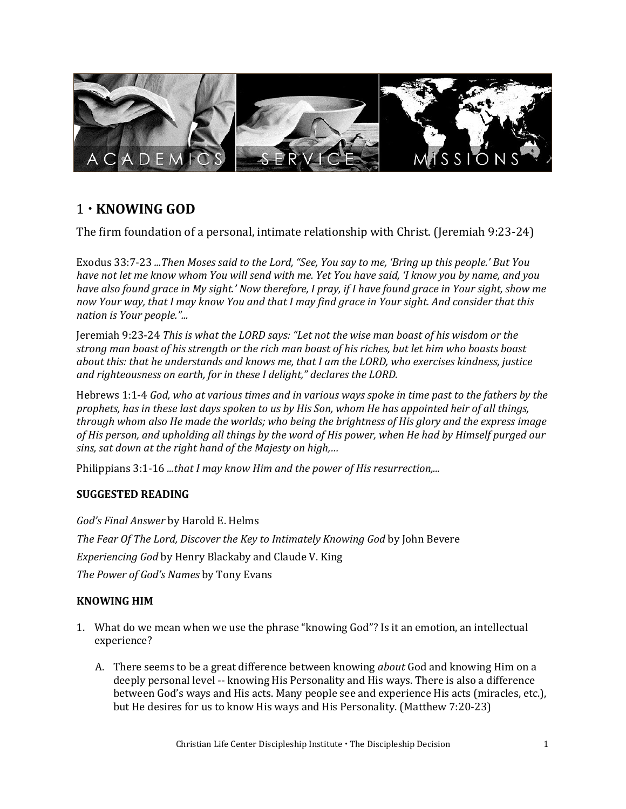

## 1 **KNOWING GOD**

The firm foundation of a personal, intimate relationship with Christ. (Jeremiah 9:23-24)

Exodus 33:7-23 *...Then Moses said to the Lord, "See, You say to me, 'Bring up this people.' But You have not let me know whom You will send with me. Yet You have said, 'I know you by name, and you have also found grace in My sight.' Now therefore, I pray, if I have found grace in Your sight, show me now Your way, that I may know You and that I may find grace in Your sight. And consider that this nation is Your people."...*

Jeremiah 9:23-24 *This is what the LORD says: "Let not the wise man boast of his wisdom or the strong man boast of his strength or the rich man boast of his riches, but let him who boasts boast about this: that he understands and knows me, that I am the LORD, who exercises kindness, justice and righteousness on earth, for in these I delight," declares the LORD.* 

Hebrews 1:1-4 *God, who at various times and in various ways spoke in time past to the fathers by the prophets, has in these last days spoken to us by His Son, whom He has appointed heir of all things, through whom also He made the worlds; who being the brightness of His glory and the express image of His person, and upholding all things by the word of His power, when He had by Himself purged our sins, sat down at the right hand of the Majesty on high,…*

Philippians 3:1-16 *...that I may know Him and the power of His resurrection,...*

### **SUGGESTED READING**

*God's Final Answer* by Harold E. Helms *The Fear Of The Lord, Discover the Key to Intimately Knowing God* by John Bevere *Experiencing God* by Henry Blackaby and Claude V. King *The Power of God's Names* by Tony Evans

### **KNOWING HIM**

- 1. What do we mean when we use the phrase "knowing God"? Is it an emotion, an intellectual experience?
	- A. There seems to be a great difference between knowing *about* God and knowing Him on a deeply personal level -- knowing His Personality and His ways. There is also a difference between God's ways and His acts. Many people see and experience His acts (miracles, etc.), but He desires for us to know His ways and His Personality. (Matthew 7:20-23)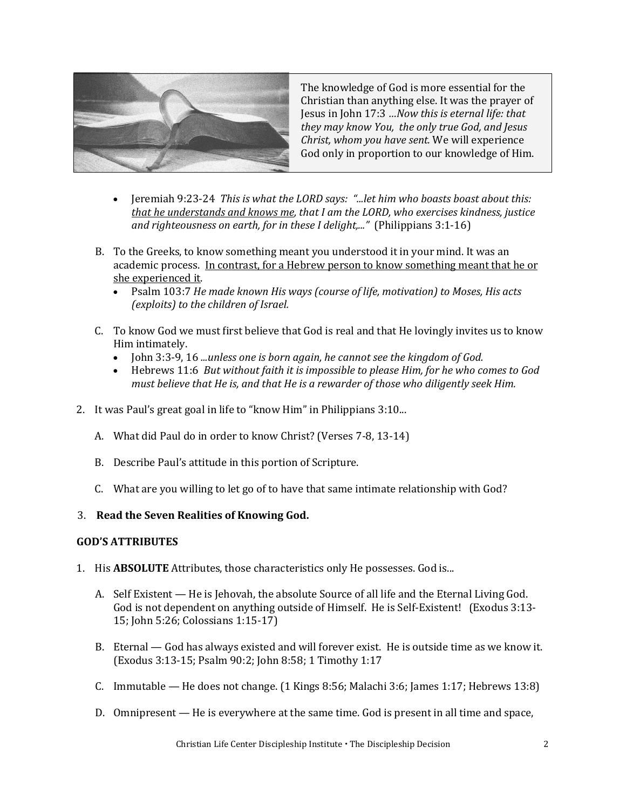

The knowledge of God is more essential for the Christian than anything else. It was the prayer of Jesus in John 17:3 *…Now this is eternal life: that they may know You, the only true God, and Jesus Christ, whom you have sent.* We will experience God only in proportion to our knowledge of Him.

- Jeremiah 9:23-24 *This is what the LORD says: "...let him who boasts boast about this: that he understands and knows me, that I am the LORD, who exercises kindness, justice and righteousness on earth, for in these I delight,..."* (Philippians 3:1-16)
- B. To the Greeks, to know something meant you understood it in your mind. It was an academic process. In contrast, for a Hebrew person to know something meant that he or she experienced it.
	- Psalm 103:7 *He made known His ways (course of life, motivation) to Moses, His acts (exploits) to the children of Israel.*
- C. To know God we must first believe that God is real and that He lovingly invites us to know Him intimately.
	- John 3:3-9, 16 *...unless one is born again, he cannot see the kingdom of God.*
	- Hebrews 11:6 *But without faith it is impossible to please Him, for he who comes to God must believe that He is, and that He is a rewarder of those who diligently seek Him.*
- 2. It was Paul's great goal in life to "know Him" in Philippians 3:10...
	- A. What did Paul do in order to know Christ? (Verses 7-8, 13-14)
	- B. Describe Paul's attitude in this portion of Scripture.
	- C. What are you willing to let go of to have that same intimate relationship with God?

### 3. **Read the [Seven Realities of Knowing God.](https://developdisciples.files.wordpress.com/2022/04/experiencing-god-1.pdf)**

### **GOD'S ATTRIBUTES**

- 1. His **ABSOLUTE** Attributes, those characteristics only He possesses. God is...
	- A. Self Existent He is Jehovah, the absolute Source of all life and the Eternal Living God. God is not dependent on anything outside of Himself. He is Self-Existent! (Exodus 3:13- 15; John 5:26; Colossians 1:15-17)
	- B. Eternal God has always existed and will forever exist. He is outside time as we know it. (Exodus 3:13-15; Psalm 90:2; John 8:58; 1 Timothy 1:17
	- C. Immutable He does not change. (1 Kings 8:56; Malachi 3:6; James 1:17; Hebrews 13:8)
	- D. Omnipresent He is everywhere at the same time. God is present in all time and space,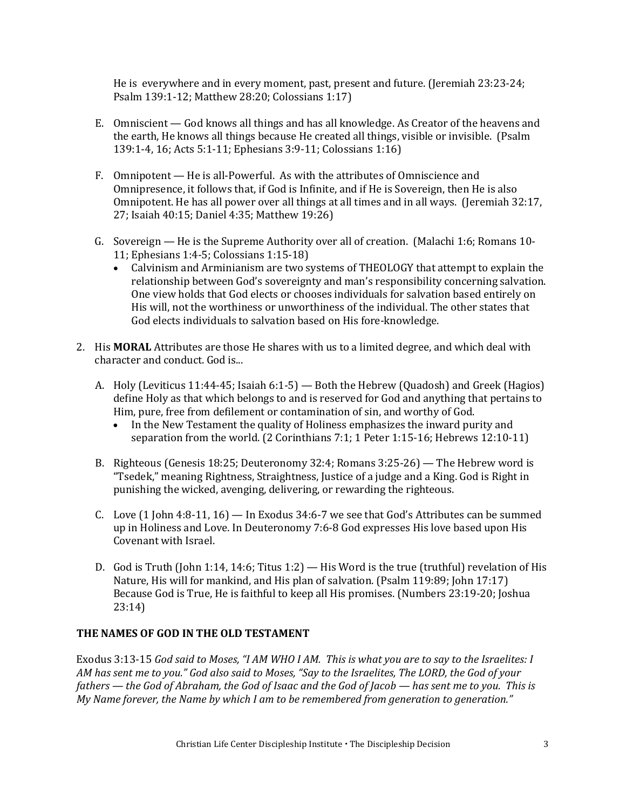He is everywhere and in every moment, past, present and future. (Jeremiah 23:23-24; Psalm 139:1-12; Matthew 28:20; Colossians 1:17)

- E. Omniscient God knows all things and has all knowledge. As Creator of the heavens and the earth, He knows all things because He created all things, visible or invisible. (Psalm 139:1-4, 16; Acts 5:1-11; Ephesians 3:9-11; Colossians 1:16)
- F. Omnipotent He is all-Powerful. As with the attributes of Omniscience and Omnipresence, it follows that, if God is Infinite, and if He is Sovereign, then He is also Omnipotent. He has all power over all things at all times and in all ways. (Jeremiah 32:17, 27; Isaiah 40:15; Daniel 4:35; Matthew 19:26)
- G. Sovereign He is the Supreme Authority over all of creation. (Malachi 1:6; Romans 10- 11; Ephesians 1:4-5; Colossians 1:15-18)
	- Calvinism and Arminianism are two systems of THEOLOGY that attempt to explain the relationship between God's sovereignty and man's responsibility concerning salvation. One view holds that God elects or chooses individuals for salvation based entirely on His will, not the worthiness or unworthiness of the individual. The other states that God elects individuals to salvation based on His fore-knowledge.
- 2. His **MORAL** Attributes are those He shares with us to a limited degree, and which deal with character and conduct. God is...
	- A. Holy (Leviticus 11:44-45; Isaiah 6:1-5) Both the Hebrew (Quadosh) and Greek (Hagios) define Holy as that which belongs to and is reserved for God and anything that pertains to Him, pure, free from defilement or contamination of sin, and worthy of God.
		- In the New Testament the quality of Holiness emphasizes the inward purity and separation from the world. (2 Corinthians 7:1; 1 Peter 1:15-16; Hebrews 12:10-11)
	- B. Righteous (Genesis 18:25; Deuteronomy 32:4; Romans 3:25-26) The Hebrew word is "Tsedek," meaning Rightness, Straightness, Justice of a judge and a King. God is Right in punishing the wicked, avenging, delivering, or rewarding the righteous.
	- C. Love  $(1$  John 4:8-11,  $16$  In Exodus 34:6-7 we see that God's Attributes can be summed up in Holiness and Love. In Deuteronomy 7:6-8 God expresses His love based upon His Covenant with Israel.
	- D. God is Truth (John 1:14, 14:6; Titus 1:2) His Word is the true (truthful) revelation of His Nature, His will for mankind, and His plan of salvation. (Psalm 119:89; John 17:17) Because God is True, He is faithful to keep all His promises. (Numbers 23:19-20; Joshua 23:14)

### **THE NAMES OF GOD IN THE OLD TESTAMENT**

Exodus 3:13-15 *God said to Moses, "I AM WHO I AM. This is what you are to say to the Israelites: I AM has sent me to you." God also said to Moses, "Say to the Israelites, The LORD, the God of your fathers — the God of Abraham, the God of Isaac and the God of Jacob — has sent me to you. This is My Name forever, the Name by which I am to be remembered from generation to generation."*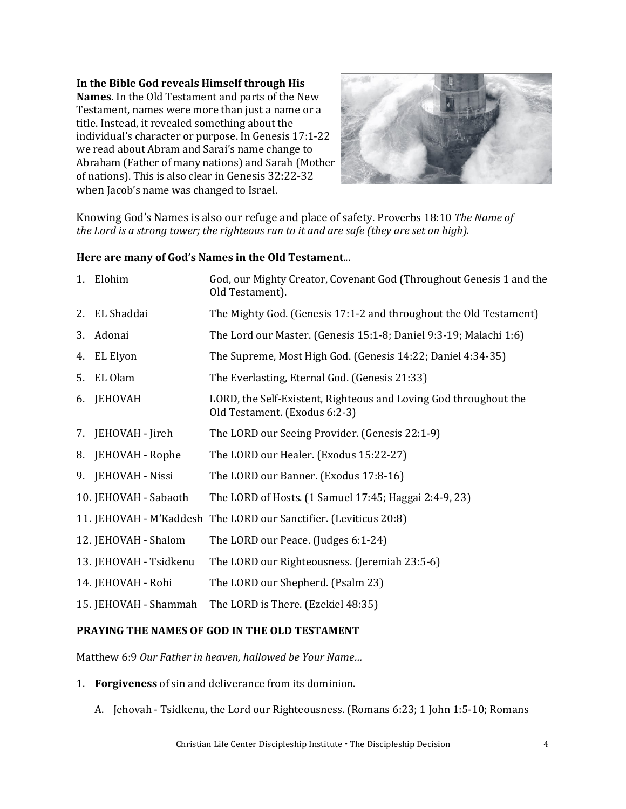**In the Bible God reveals Himself through His Names**. In the Old Testament and parts of the New Testament, names were more than just a name or a title. Instead, it revealed something about the individual's character or purpose. In Genesis 17:1-22 we read about Abram and Sarai's name change to Abraham (Father of many nations) and Sarah (Mother of nations). This is also clear in Genesis 32:22-32

when Jacob's name was changed to Israel.



Knowing God's Names is also our refuge and place of safety. Proverbs 18:10 *The Name of the Lord is a strong tower; the righteous run to it and are safe (they are set on high).*

#### **Here are many of God's Names in the Old Testament**...

|    | 1. Elohim              | God, our Mighty Creator, Covenant God (Throughout Genesis 1 and the<br>Old Testament).            |
|----|------------------------|---------------------------------------------------------------------------------------------------|
| 2. | EL Shaddai             | The Mighty God. (Genesis 17:1-2 and throughout the Old Testament)                                 |
| 3. | Adonai                 | The Lord our Master. (Genesis 15:1-8; Daniel 9:3-19; Malachi 1:6)                                 |
| 4. | EL Elyon               | The Supreme, Most High God. (Genesis 14:22; Daniel 4:34-35)                                       |
|    | 5. EL Olam             | The Everlasting, Eternal God. (Genesis 21:33)                                                     |
| 6. | JEHOVAH                | LORD, the Self-Existent, Righteous and Loving God throughout the<br>Old Testament. (Exodus 6:2-3) |
|    | 7. JEHOVAH - Jireh     | The LORD our Seeing Provider. (Genesis 22:1-9)                                                    |
|    | 8. JEHOVAH - Rophe     | The LORD our Healer. (Exodus 15:22-27)                                                            |
|    | 9. JEHOVAH - Nissi     | The LORD our Banner. (Exodus 17:8-16)                                                             |
|    | 10. JEHOVAH - Sabaoth  | The LORD of Hosts. (1 Samuel 17:45; Haggai 2:4-9, 23)                                             |
|    |                        | 11. JEHOVAH - M'Kaddesh The LORD our Sanctifier. (Leviticus 20:8)                                 |
|    | 12. JEHOVAH - Shalom   | The LORD our Peace. (Judges 6:1-24)                                                               |
|    | 13. JEHOVAH - Tsidkenu | The LORD our Righteousness. (Jeremiah 23:5-6)                                                     |
|    | 14. JEHOVAH - Rohi     | The LORD our Shepherd. (Psalm 23)                                                                 |
|    | 15. JEHOVAH - Shammah  | The LORD is There. (Ezekiel 48:35)                                                                |
|    |                        |                                                                                                   |

### **PRAYING THE NAMES OF GOD IN THE OLD TESTAMENT**

Matthew 6:9 *Our Father in heaven, hallowed be Your Name…* 

- 1. **Forgiveness** of sin and deliverance from its dominion.
	- A. Jehovah Tsidkenu, the Lord our Righteousness. (Romans 6:23; 1 John 1:5-10; Romans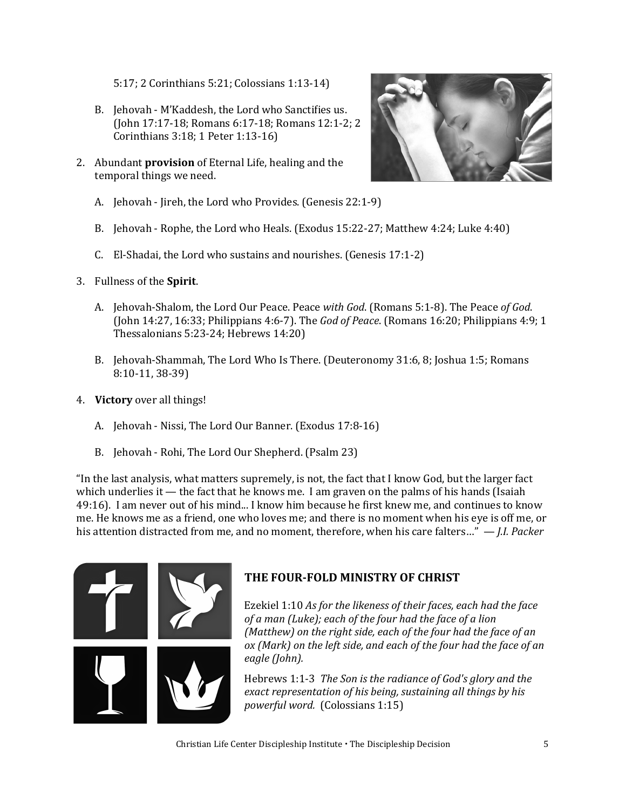5:17; 2 Corinthians 5:21; Colossians 1:13-14)

- B. Jehovah M'Kaddesh, the Lord who Sanctifies us. (John 17:17-18; Romans 6:17-18; Romans 12:1-2; 2 Corinthians 3:18; 1 Peter 1:13-16)
- 2. Abundant **provision** of Eternal Life, healing and the temporal things we need.



- A. Jehovah Jireh, the Lord who Provides. (Genesis 22:1-9)
- B. Jehovah Rophe, the Lord who Heals. (Exodus 15:22-27; Matthew 4:24; Luke 4:40)
- C. El-Shadai, the Lord who sustains and nourishes. (Genesis 17:1-2)
- 3. Fullness of the **Spirit**.
	- A. Jehovah-Shalom, the Lord Our Peace. Peace *with God*. (Romans 5:1-8). The Peace *of God*. (John 14:27, 16:33; Philippians 4:6-7). The *God of Peace*. (Romans 16:20; Philippians 4:9; 1 Thessalonians 5:23-24; Hebrews 14:20)
	- B. Jehovah-Shammah, The Lord Who Is There. (Deuteronomy 31:6, 8; Joshua 1:5; Romans 8:10-11, 38-39)
- 4. **Victory** over all things!
	- A. Jehovah Nissi, The Lord Our Banner. (Exodus 17:8-16)
	- B. Jehovah Rohi, The Lord Our Shepherd. (Psalm 23)

"In the last analysis, what matters supremely, is not, the fact that I know God, but the larger fact which underlies it — the fact that he knows me. I am graven on the palms of his hands (Isaiah 49:16). I am never out of his mind... I know him because he first knew me, and continues to know me. He knows me as a friend, one who loves me; and there is no moment when his eye is off me, or his attention distracted from me, and no moment, therefore, when his care falters…" — *J.I. Packer*



### **THE FOUR-FOLD MINISTRY OF CHRIST**

Ezekiel 1:10 *As for the likeness of their faces, each had the face of a man (Luke); each of the four had the face of a lion (Matthew) on the right side, each of the four had the face of an ox (Mark) on the left side, and each of the four had the face of an eagle (John).*

Hebrews 1:1-3 *The Son is the radiance of God's glory and the exact representation of his being, sustaining all things by his powerful word.* (Colossians 1:15)

Christian Life Center Discipleship Institute The Discipleship Decision 5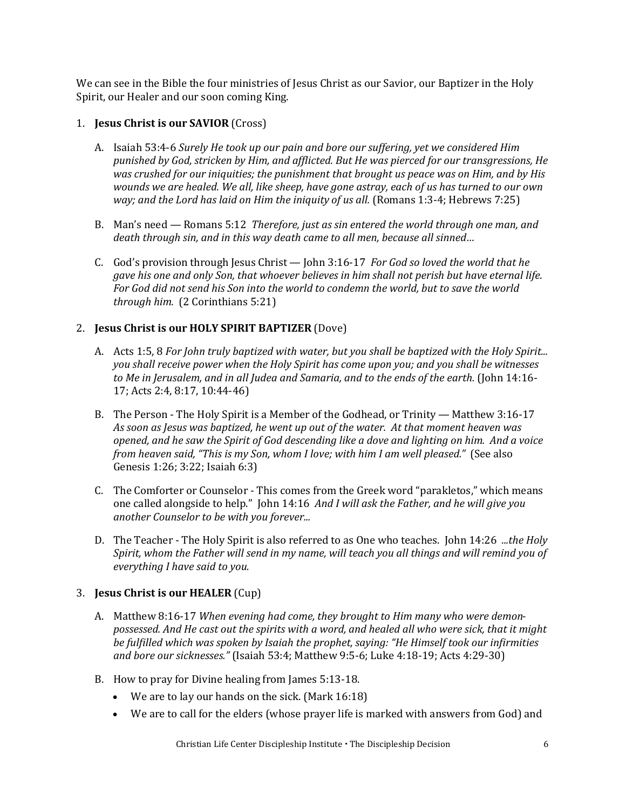We can see in the Bible the four ministries of Jesus Christ as our Savior, our Baptizer in the Holy Spirit, our Healer and our soon coming King.

### 1. **Jesus Christ is our SAVIOR** (Cross)

- A. Isaiah 53:4-6 *Surely He took up our pain and bore our suffering, yet we considered Him punished by God, stricken by Him, and afflicted. But He was pierced for our transgressions, He was crushed for our iniquities; the punishment that brought us peace was on Him, and by His wounds we are healed. We all, like sheep, have gone astray, each of us has turned to our own way; and the Lord has laid on Him the iniquity of us all.* (Romans 1:3-4; Hebrews 7:25)
- B. Man's need Romans 5:12 *Therefore, just as sin entered the world through one man, and death through sin, and in this way death came to all men, because all sinned…*
- C. God's provision through Jesus Christ John 3:16-17 *For God so loved the world that he gave his one and only Son, that whoever believes in him shall not perish but have eternal life. For God did not send his Son into the world to condemn the world, but to save the world through him.* (2 Corinthians 5:21)

### 2. **Jesus Christ is our HOLY SPIRIT BAPTIZER** (Dove)

- A. Acts 1:5, 8 *For John truly baptized with water, but you shall be baptized with the Holy Spirit... you shall receive power when the Holy Spirit has come upon you; and you shall be witnesses to Me in Jerusalem, and in all Judea and Samaria, and to the ends of the earth.* (John 14:16- 17; Acts 2:4, 8:17, 10:44-46)
- B. The Person The Holy Spirit is a Member of the Godhead, or Trinity Matthew 3:16-17 *As soon as Jesus was baptized, he went up out of the water. At that moment heaven was opened, and he saw the Spirit of God descending like a dove and lighting on him. And a voice from heaven said, "This is my Son, whom I love; with him I am well pleased."* (See also Genesis 1:26; 3:22; Isaiah 6:3)
- C. The Comforter or Counselor This comes from the Greek word "parakletos," which means one called alongside to help." John 14:16 *And I will ask the Father, and he will give you another Counselor to be with you forever...*
- D. The Teacher The Holy Spirit is also referred to as One who teaches. John 14:26 *...the Holy Spirit, whom the Father will send in my name, will teach you all things and will remind you of everything I have said to you.*

### 3. **Jesus Christ is our HEALER** (Cup)

- A. Matthew 8:16-17 *When evening had come, they brought to Him many who were demonpossessed. And He cast out the spirits with a word, and healed all who were sick, that it might be fulfilled which was spoken by Isaiah the prophet, saying: "He Himself took our infirmities and bore our sicknesses."* (Isaiah 53:4; Matthew 9:5-6; Luke 4:18-19; Acts 4:29-30)
- B. How to pray for Divine healing from James 5:13-18.
	- We are to lay our hands on the sick. (Mark 16:18)
	- We are to call for the elders (whose prayer life is marked with answers from God) and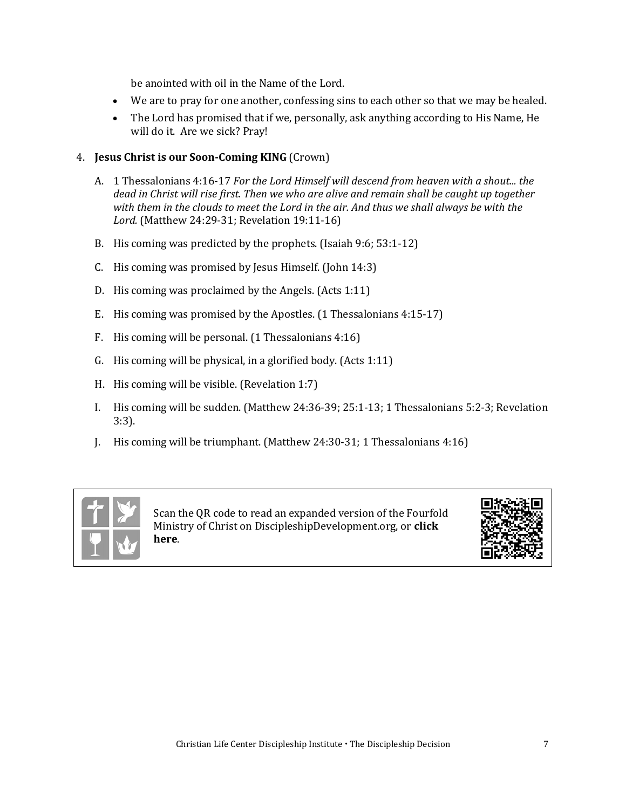be anointed with oil in the Name of the Lord.

- We are to pray for one another, confessing sins to each other so that we may be healed.
- The Lord has promised that if we, personally, ask anything according to His Name, He will do it. Are we sick? Pray!

### 4. **Jesus Christ is our Soon-Coming KING** (Crown)

- A. 1 Thessalonians 4:16-17 *For the Lord Himself will descend from heaven with a shout... the dead in Christ will rise first. Then we who are alive and remain shall be caught up together with them in the clouds to meet the Lord in the air. And thus we shall always be with the Lord.* (Matthew 24:29-31; Revelation 19:11-16)
- B. His coming was predicted by the prophets. (Isaiah 9:6; 53:1-12)
- C. His coming was promised by Jesus Himself. (John 14:3)
- D. His coming was proclaimed by the Angels. (Acts 1:11)
- E. His coming was promised by the Apostles. (1 Thessalonians 4:15-17)
- F. His coming will be personal. (1 Thessalonians 4:16)
- G. His coming will be physical, in a glorified body. (Acts 1:11)
- H. His coming will be visible. (Revelation 1:7)
- I. His coming will be sudden. (Matthew 24:36-39; 25:1-13; 1 Thessalonians 5:2-3; Revelation 3:3).
- J. His coming will be triumphant. (Matthew 24:30-31; 1 Thessalonians 4:16)



Scan the QR code to read an expanded version of the Fourfold Ministry of Christ on DiscipleshipDevelopment.org, or **[click](https://developdisciples.files.wordpress.com/2012/10/foursquare-teaching1.pdf)  [here](https://developdisciples.files.wordpress.com/2012/10/foursquare-teaching1.pdf)**.